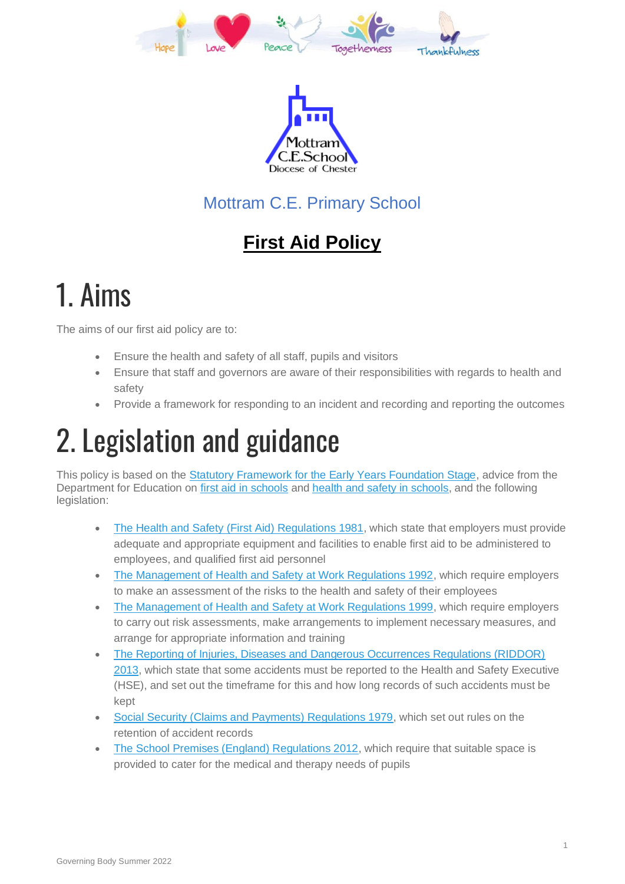



### Mottram C.E. Primary School

### **First Aid Policy**

## 1. Aims

The aims of our first aid policy are to:

- Ensure the health and safety of all staff, pupils and visitors
- Ensure that staff and governors are aware of their responsibilities with regards to health and safety
- Provide a framework for responding to an incident and recording and reporting the outcomes

# 2. Legislation and guidance

This policy is based on the [Statutory Framework for the Early Years Foundation Stage,](https://www.gov.uk/government/uploads/system/uploads/attachment_data/file/596629/EYFS_STATUTORY_FRAMEWORK_2017.pdf) advice from the Department for Education on [first aid in schools](https://www.gov.uk/government/publications/first-aid-in-schools) and [health and safety in schools,](https://www.gov.uk/government/publications/health-and-safety-advice-for-schools) and the following legislation:

- [The Health and Safety \(First Aid\) Regulations 1981,](http://www.legislation.gov.uk/uksi/1981/917/regulation/3/made) which state that employers must provide adequate and appropriate equipment and facilities to enable first aid to be administered to employees, and qualified first aid personnel
- [The Management of Health and Safety at Work Regulations 1992,](http://www.legislation.gov.uk/uksi/1992/2051/regulation/3/made) which require employers to make an assessment of the risks to the health and safety of their employees
- [The Management of Health and Safety at Work Regulations 1999,](http://www.legislation.gov.uk/uksi/1999/3242/contents/made) which require employers to carry out risk assessments, make arrangements to implement necessary measures, and arrange for appropriate information and training
- [The Reporting of Injuries, Diseases and Dangerous Occurrences Regulations \(RIDDOR\)](http://www.legislation.gov.uk/uksi/2013/1471/schedule/1/paragraph/1/made)  [2013,](http://www.legislation.gov.uk/uksi/2013/1471/schedule/1/paragraph/1/made) which state that some accidents must be reported to the Health and Safety Executive (HSE), and set out the timeframe for this and how long records of such accidents must be kept
- [Social Security \(Claims and Payments\) Regulations 1979,](http://www.legislation.gov.uk/uksi/1979/628) which set out rules on the retention of accident records
- [The School Premises \(England\) Regulations 2012,](http://www.legislation.gov.uk/uksi/2012/1943/regulation/5/made) which require that suitable space is provided to cater for the medical and therapy needs of pupils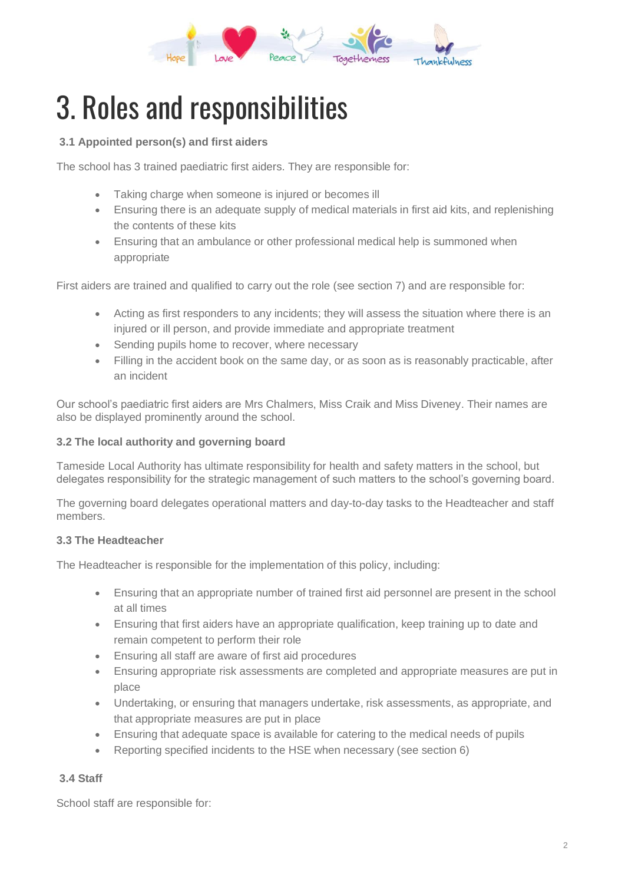

# 3. Roles and responsibilities

#### **3.1 Appointed person(s) and first aiders**

The school has 3 trained paediatric first aiders. They are responsible for:

- Taking charge when someone is injured or becomes ill
- Ensuring there is an adequate supply of medical materials in first aid kits, and replenishing the contents of these kits
- Ensuring that an ambulance or other professional medical help is summoned when appropriate

First aiders are trained and qualified to carry out the role (see section 7) and are responsible for:

- Acting as first responders to any incidents; they will assess the situation where there is an injured or ill person, and provide immediate and appropriate treatment
- Sending pupils home to recover, where necessary
- Filling in the accident book on the same day, or as soon as is reasonably practicable, after an incident

Our school's paediatric first aiders are Mrs Chalmers, Miss Craik and Miss Diveney. Their names are also be displayed prominently around the school.

#### **3.2 The local authority and governing board**

Tameside Local Authority has ultimate responsibility for health and safety matters in the school, but delegates responsibility for the strategic management of such matters to the school's governing board.

The governing board delegates operational matters and day-to-day tasks to the Headteacher and staff members.

#### **3.3 The Headteacher**

The Headteacher is responsible for the implementation of this policy, including:

- Ensuring that an appropriate number of trained first aid personnel are present in the school at all times
- Ensuring that first aiders have an appropriate qualification, keep training up to date and remain competent to perform their role
- Ensuring all staff are aware of first aid procedures
- Ensuring appropriate risk assessments are completed and appropriate measures are put in place
- Undertaking, or ensuring that managers undertake, risk assessments, as appropriate, and that appropriate measures are put in place
- Ensuring that adequate space is available for catering to the medical needs of pupils
- Reporting specified incidents to the HSE when necessary (see section 6)

#### **3.4 Staff**

School staff are responsible for: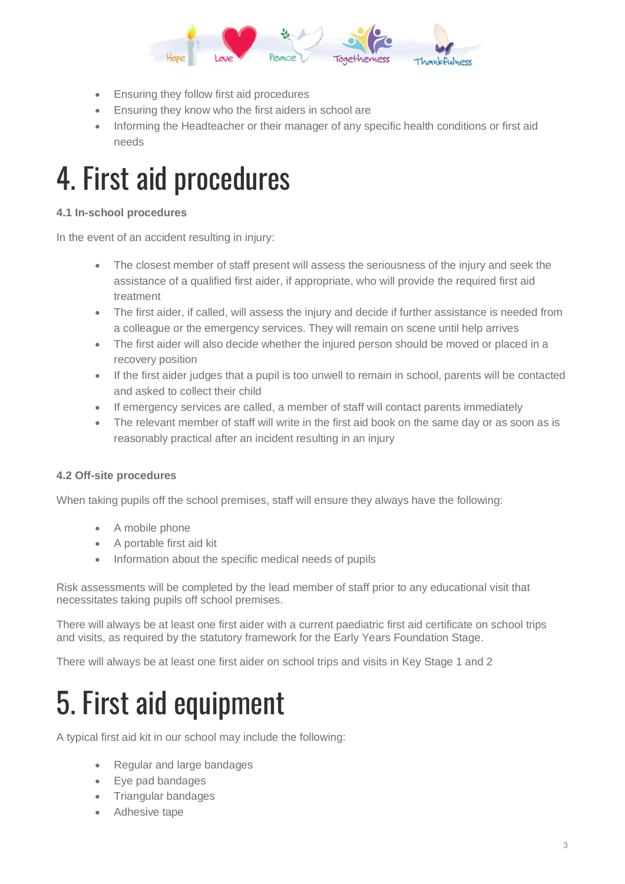

- Ensuring they follow first aid procedures
- Ensuring they know who the first aiders in school are
- Informing the Headteacher or their manager of any specific health conditions or first aid needs

### 4. First aid procedures

#### **4.1 In-school procedures**

In the event of an accident resulting in injury:

- The closest member of staff present will assess the seriousness of the injury and seek the assistance of a qualified first aider, if appropriate, who will provide the required first aid treatment
- The first aider, if called, will assess the injury and decide if further assistance is needed from a colleague or the emergency services. They will remain on scene until help arrives
- The first aider will also decide whether the injured person should be moved or placed in a recovery position
- If the first aider judges that a pupil is too unwell to remain in school, parents will be contacted and asked to collect their child
- If emergency services are called, a member of staff will contact parents immediately
- The relevant member of staff will write in the first aid book on the same day or as soon as is reasonably practical after an incident resulting in an injury

#### **4.2 Off-site procedures**

When taking pupils off the school premises, staff will ensure they always have the following:

- A mobile phone
- A portable first aid kit
- Information about the specific medical needs of pupils

Risk assessments will be completed by the lead member of staff prior to any educational visit that necessitates taking pupils off school premises.

There will always be at least one first aider with a current paediatric first aid certificate on school trips and visits, as required by the statutory framework for the Early Years Foundation Stage.

There will always be at least one first aider on school trips and visits in Key Stage 1 and 2

## 5. First aid equipment

A typical first aid kit in our school may include the following:

- Regular and large bandages
- Eye pad bandages
- Triangular bandages
- Adhesive tape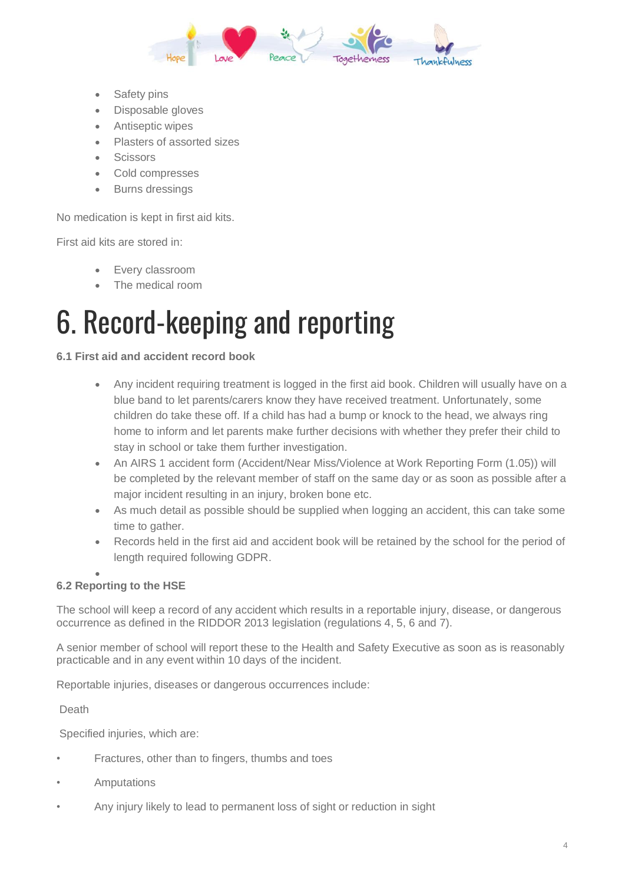

- Safety pins
- Disposable gloves
- Antiseptic wipes
- Plasters of assorted sizes
- Scissors
- Cold compresses
- **Burns dressings**

No medication is kept in first aid kits.

First aid kits are stored in:

- Every classroom
- The medical room

## 6. Record-keeping and reporting

#### **6.1 First aid and accident record book**

- Any incident requiring treatment is logged in the first aid book. Children will usually have on a blue band to let parents/carers know they have received treatment. Unfortunately, some children do take these off. If a child has had a bump or knock to the head, we always ring home to inform and let parents make further decisions with whether they prefer their child to stay in school or take them further investigation.
- An AIRS 1 accident form (Accident/Near Miss/Violence at Work Reporting Form (1.05)) will be completed by the relevant member of staff on the same day or as soon as possible after a major incident resulting in an injury, broken bone etc.
- As much detail as possible should be supplied when logging an accident, this can take some time to gather.
- Records held in the first aid and accident book will be retained by the school for the period of length required following GDPR.

#### • **6.2 Reporting to the HSE**

The school will keep a record of any accident which results in a reportable injury, disease, or dangerous occurrence as defined in the RIDDOR 2013 legislation (regulations 4, 5, 6 and 7).

A senior member of school will report these to the Health and Safety Executive as soon as is reasonably practicable and in any event within 10 days of the incident.

Reportable injuries, diseases or dangerous occurrences include:

Death

Specified injuries, which are:

- Fractures, other than to fingers, thumbs and toes
- **Amputations**
- Any injury likely to lead to permanent loss of sight or reduction in sight